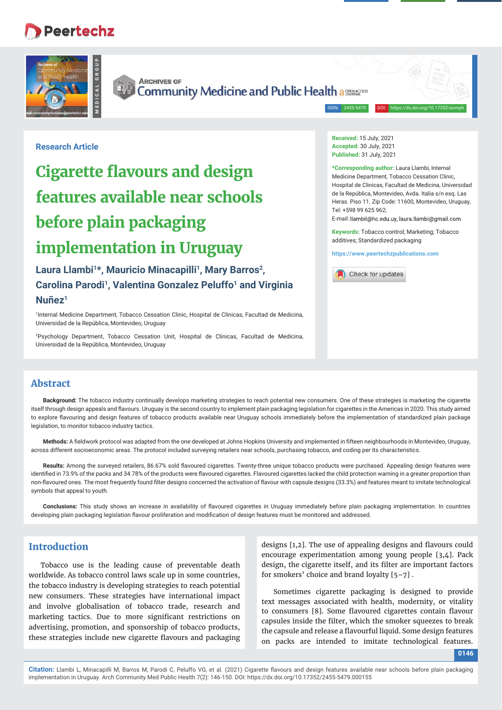## **Peertechz**





**ARCHIVES OF** Community Medicine and Public Health assessed

ISSN: 2455-5479

**Research Article**

# **Cigarette flavours and design features available near schools before plain packaging implementation in Uruguay**

Laura Llambi<sup>1\*</sup>, Mauricio Minacapilli<sup>1</sup>, Mary Barros<sup>2</sup>, **Carolina Parodi1, Valentina Gonzalez Peluffo1 and Virginia Nuñez1**

1 Internal Medicine Department, Tobacco Cessation Clinic, Hospital de Clinicas, Facultad de Medicina, Universidad de la República, Montevideo, Uruguay

2 Psychology Department, Tobacco Cessation Unit, Hospital de Clinicas, Facultad de Medicina, Universidad de la República, Montevideo, Uruguay

**Received:** 15 July, 2021 **Accepted:** 30 July, 2021 **Published:** 31 July, 2021

**\*Corresponding author:** Laura Llambi, Internal Medicine Department, Tobacco Cessation Clinic, Hospital de Clinicas, Facultad de Medicina, Universidad de la República, Montevideo, Avda. Italia s/n esq. Las Heras. Piso 11. Zip Code: 11600, Montevideo, Uruguay, Tel: +598 99 625 962;

E-mail: llambil@hc.edu.uy, laura.llambi@gmail.com

**Keywords:** Tobacco control; Marketing; Tobacco additives; Standardized packaging

**https://www.peertechzpublications.com**



## **Abstract**

**Background:** The tobacco industry continually develops marketing strategies to reach potential new consumers. One of these strategies is marketing the cigarette itself through design appeals and flavours. Uruguay is the second country to implement plain packaging legislation for cigarettes in the Americas in 2020. This study aimed to explore flavouring and design features of tobacco products available near Uruguay schools immediately before the implementation of standardized plain package legislation, to monitor tobacco industry tactics.

Methods: A fieldwork protocol was adapted from the one developed at Johns Hopkins University and implemented in fifteen neighbourhoods in Montevideo, Uruguay, across different socioeconomic areas. The protocol included surveying retailers near schools, purchasing tobacco, and coding per its characteristics.

Results: Among the surveyed retailers, 86.67% sold flavoured cigarettes. Twenty-three unique tobacco products were purchased. Appealing design features were identified in 73.9% of the packs and 34.78% of the products were flavoured cigarettes. Flavoured cigarettes lacked the child protection warning in a greater proportion than non-flavoured ones. The most frequently found filter designs concerned the activation of flavour with capsule designs (33.3%) and features meant to imitate technological symbols that appeal to youth.

Conclusions: This study shows an increase in availability of flavoured cigarettes in Uruguay immediately before plain packaging implementation. In countries developing plain packaging legislation flavour proliferation and modification of design features must be monitored and addressed.

## **Introduction**

Tobacco use is the leading cause of preventable death worldwide. As tobacco control laws scale up in some countries, the tobacco industry is developing strategies to reach potential new consumers. These strategies have international impact and involve globalisation of tobacco trade, research and marketing tactics. Due to more significant restrictions on advertising, promotion, and sponsorship of tobacco products, these strategies include new cigarette flavours and packaging

designs  $[1,2]$ . The use of appealing designs and flavours could encourage experimentation among young people [3,4]. Pack design, the cigarette itself, and its filter are important factors for smokers' choice and brand loyalty [5–7] .

Sometimes cigarette packaging is designed to provide text messages associated with health, modernity, or vitality to consumers [8]. Some flavoured cigarettes contain flavour capsules inside the filter, which the smoker squeezes to break the capsule and release a flavourful liquid. Some design features on packs are intended to imitate technological features.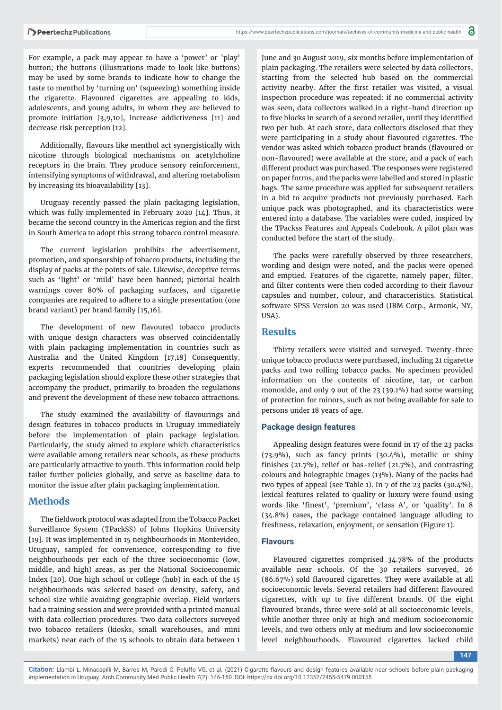For example, a pack may appear to have a 'power' or 'play' button; the buttons (illustrations made to look like buttons) may be used by some brands to indicate how to change the taste to menthol by 'turning on' (squeezing) something inside the cigarette. Flavoured cigarettes are appealing to kids, adolescents, and young adults, in whom they are believed to promote initiation [3,9,10], increase addictiveness [11] and decrease risk perception [12].

Additionally, flavours like menthol act synergistically with nicotine through biological mechanisms on acetylcholine receptors in the brain. They produce sensory reinforcement, intensifying symptoms of withdrawal, and altering metabolism by increasing its bioavailability [13].

Uruguay recently passed the plain packaging legislation, which was fully implemented in February 2020 [14]. Thus, it became the second country in the Americas region and the first in South America to adopt this strong tobacco control measure.

The current legislation prohibits the advertisement, promotion, and sponsorship of tobacco products, including the display of packs at the points of sale. Likewise, deceptive terms such as 'light' or 'mild' have been banned; pictorial health warnings cover 80% of packaging surfaces, and cigarette companies are required to adhere to a single presentation (one brand variant) per brand family [15,16].

The development of new flavoured tobacco products with unique design characters was observed coincidentally with plain packaging implementation in countries such as Australia and the United Kingdom [17,18] Consequently, experts recommended that countries developing plain packaging legislation should explore these other strategies that accompany the product, primarily to broaden the regulations and prevent the development of these new tobacco attractions.

The study examined the availability of flavourings and design features in tobacco products in Uruguay immediately before the implementation of plain package legislation. Particularly, the study aimed to explore which characteristics were available among retailers near schools, as these products are particularly attractive to youth. This information could help tailor further policies globally, and serve as baseline data to monitor the issue after plain packaging implementation.

## **Methods**

The fieldwork protocol was adapted from the Tobacco Packet Surveillance System (TPackSS) of Johns Hopkins University [19]. It was implemented in 15 neighbourhoods in Montevideo, Uruguay, sampled for convenience, corresponding to five neighbourhoods per each of the three socioeconomic (low, middle, and high) areas, as per the National Socioeconomic Index [20]. One high school or college (hub) in each of the 15 neighbourhoods was selected based on density, safety, and school size while avoiding geographic overlap. Field workers had a training session and were provided with a printed manual with data collection procedures. Two data collectors surveyed two tobacco retailers (kiosks, small warehouses, and mini markets) near each of the 15 schools to obtain data between 1

June and 30 August 2019, six months before implementation of plain packaging. The retailers were selected by data collectors, starting from the selected hub based on the commercial activity nearby. After the first retailer was visited, a visual inspection procedure was repeated: if no commercial activity was seen, data collectors walked in a right-hand direction up to five blocks in search of a second retailer, until they identified two per hub. At each store, data collectors disclosed that they were participating in a study about flavoured cigarettes. The vendor was asked which tobacco product brands (flavoured or non-flavoured) were available at the store, and a pack of each different product was purchased. The responses were registered on paper forms, and the packs were labelled and stored in plastic bags. The same procedure was applied for subsequent retailers in a bid to acquire products not previously purchased. Each unique pack was photographed, and its characteristics were entered into a database. The variables were coded, inspired by the TPackss Features and Appeals Codebook. A pilot plan was conducted before the start of the study.

The packs were carefully observed by three researchers, wording and design were noted, and the packs were opened and emptied. Features of the cigarette, namely paper, filter, and filter contents were then coded according to their flavour capsules and number, colour, and characteristics. Statistical software SPSS Version 20 was used (IBM Corp., Armonk, NY, USA).

### **Results**

Thirty retailers were visited and surveyed. Twenty-three unique tobacco products were purchased, including 21 cigarette packs and two rolling tobacco packs. No specimen provided information on the contents of nicotine, tar, or carbon monoxide, and only 9 out of the 23 (39.1%) had some warning of protection for minors, such as not being available for sale to persons under 18 years of age.

#### **Package design features**

Appealing design features were found in 17 of the 23 packs  $(73.9\%)$ , such as fancy prints  $(30.4\%)$ , metallic or shiny finishes (21.7%), relief or bas-relief (21.7%), and contrasting colours and holographic images (13%). Many of the packs had two types of appeal (see Table 1). In 7 of the 23 packs (30.4%), lexical features related to quality or luxury were found using words like 'finest', 'premium', 'class A', or 'quality'. In 8 (34.8%) cases, the package contained language alluding to freshness, relaxation, enjoyment, or sensation (Figure 1).

#### **Flavours**

Flavoured cigarettes comprised 34.78% of the products available near schools. Of the 30 retailers surveyed, 26  $(86.67%)$  sold flavoured cigarettes. They were available at all socioeconomic levels. Several retailers had different flavoured cigarettes, with up to five different brands. Of the eight flavoured brands, three were sold at all socioeconomic levels, while another three only at high and medium socioeconomic levels, and two others only at medium and low socioeconomic level neighbourhoods. Flavoured cigarettes lacked child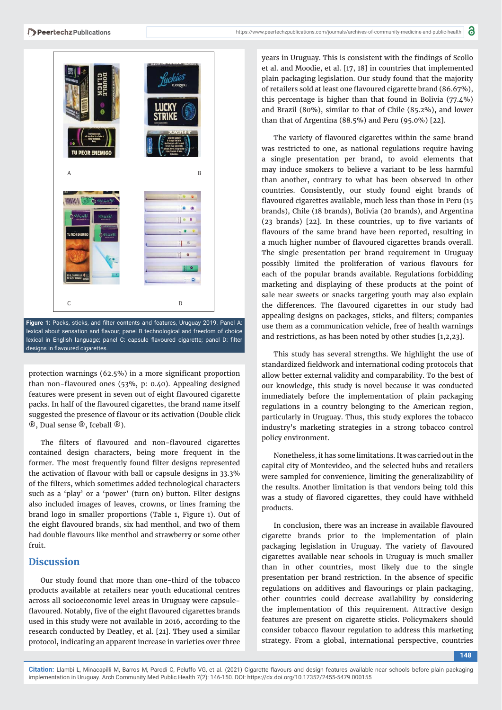

Figure 1: Packs, sticks, and filter contents and features, Uruguay 2019. Panel A: lexical about sensation and flavour; panel B technological and freedom of choice lexical in English language; panel C: capsule flavoured cigarette; panel D: filter designs in flavoured cigarettes.

protection warnings (62.5%) in a more significant proportion than non-flavoured ones  $(53\%, p: 0.40)$ . Appealing designed features were present in seven out of eight flavoured cigarette packs. In half of the flavoured cigarettes, the brand name itself suggested the presence of flavour or its activation (Double click ®, Dual sense ®, Iceball ®).

The filters of flavoured and non-flavoured cigarettes contained design characters, being more frequent in the former. The most frequently found filter designs represented the activation of flavour with ball or capsule designs in 33.3% of the filters, which sometimes added technological characters such as a 'play' or a 'power' (turn on) button. Filter designs also included images of leaves, crowns, or lines framing the brand logo in smaller proportions (Table 1, Figure 1). Out of the eight flavoured brands, six had menthol, and two of them had double flavours like menthol and strawberry or some other fruit.

#### **Discussion**

Our study found that more than one-third of the tobacco products available at retailers near youth educational centres across all socioeconomic level areas in Uruguay were capsuleflavoured. Notably, five of the eight flavoured cigarettes brands used in this study were not available in 2016, according to the research conducted by Deatley, et al. [21]. They used a similar protocol, indicating an apparent increase in varieties over three

years in Uruguay. This is consistent with the findings of Scollo et al. and Moodie, et al. [17, 18] in countries that implemented plain packaging legislation. Our study found that the majority of retailers sold at least one flavoured cigarette brand (86.67%), this percentage is higher than that found in Bolivia (77.4%) and Brazil (80%), similar to that of Chile (85.2%), and lower than that of Argentina (88.5%) and Peru (95.0%) [22].

The variety of flavoured cigarettes within the same brand was restricted to one, as national regulations require having a single presentation per brand, to avoid elements that may induce smokers to believe a variant to be less harmful than another, contrary to what has been observed in other countries. Consistently, our study found eight brands of flavoured cigarettes available, much less than those in Peru (15) brands), Chile (18 brands), Bolivia (20 brands), and Argentina  $(23 \text{ brands})$   $[22]$ . In these countries, up to five variants of flavours of the same brand have been reported, resulting in a much higher number of flavoured cigarettes brands overall. The single presentation per brand requirement in Uruguay possibly limited the proliferation of various flavours for each of the popular brands available. Regulations forbidding marketing and displaying of these products at the point of sale near sweets or snacks targeting youth may also explain the differences. The flavoured cigarettes in our study had appealing designs on packages, sticks, and filters; companies use them as a communication vehicle, free of health warnings and restrictions, as has been noted by other studies [1,2,23].

This study has several strengths. We highlight the use of standardized fieldwork and international coding protocols that allow better external validity and comparability. To the best of our knowledge, this study is novel because it was conducted immediately before the implementation of plain packaging regulations in a country belonging to the American region, particularly in Uruguay. Thus, this study explores the tobacco industry's marketing strategies in a strong tobacco control policy environment.

Nonetheless, it has some limitations. It was carried out in the capital city of Montevideo, and the selected hubs and retailers were sampled for convenience, limiting the generalizability of the results. Another limitation is that vendors being told this was a study of flavored cigarettes, they could have withheld products.

In conclusion, there was an increase in available flavoured cigarette brands prior to the implementation of plain packaging legislation in Uruguay. The variety of flavoured cigarettes available near schools in Uruguay is much smaller than in other countries, most likely due to the single presentation per brand restriction. In the absence of specific regulations on additives and flavourings or plain packaging, other countries could decrease availability by considering the implementation of this requirement. Attractive design features are present on cigarette sticks. Policymakers should consider tobacco flavour regulation to address this marketing strategy. From a global, international perspective, countries

**148**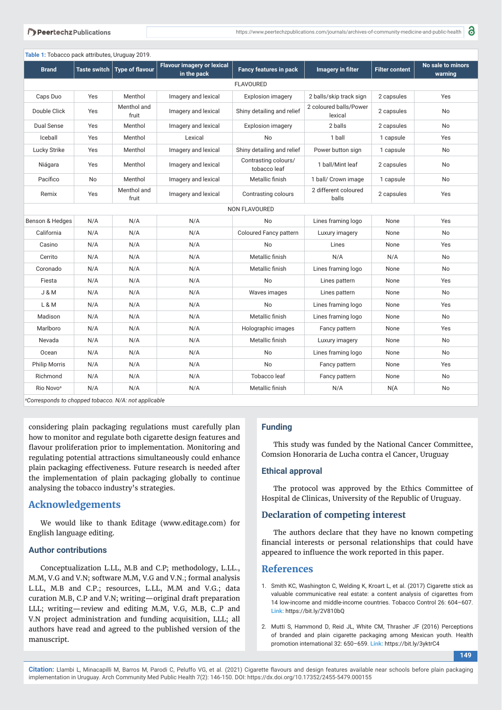**Table 1:** Tobacco pack attributes, Uruguay 2019.

| <b>Brand</b>          | <b>Taste switch</b> | <b>Type of flavour</b> | <b>Flavour imagery or lexical</b><br>in the pack | <b>Fancy features in pack</b>        | Imagery in filter                 | <b>Filter content</b> | No sale to minors<br>warning |
|-----------------------|---------------------|------------------------|--------------------------------------------------|--------------------------------------|-----------------------------------|-----------------------|------------------------------|
| <b>FLAVOURED</b>      |                     |                        |                                                  |                                      |                                   |                       |                              |
| Caps Duo              | Yes                 | Menthol                | Imagery and lexical                              | <b>Explosion imagery</b>             | 2 balls/skip track sign           | 2 capsules            | Yes                          |
| Double Click          | Yes                 | Menthol and<br>fruit   | Imagery and lexical                              | Shiny detailing and relief           | 2 coloured balls/Power<br>lexical | 2 capsules            | No                           |
| <b>Dual Sense</b>     | Yes                 | Menthol                | Imagery and lexical                              | <b>Explosion imagery</b>             | 2 balls                           | 2 capsules            | <b>No</b>                    |
| Iceball               | Yes                 | Menthol                | Lexical                                          | <b>No</b>                            | 1 ball                            | 1 capsule             | Yes                          |
| Lucky Strike          | Yes                 | Menthol                | Imagery and lexical                              | Shiny detailing and relief           | Power button sign                 | 1 capsule             | No                           |
| Niágara               | Yes                 | Menthol                | Imagery and lexical                              | Contrasting colours/<br>tobacco leaf | 1 ball/Mint leaf                  | 2 capsules            | No                           |
| Pacífico              | No                  | Menthol                | Imagery and lexical                              | Metallic finish                      | 1 ball/ Crown image               | 1 capsule             | No                           |
| Remix                 | Yes                 | Menthol and<br>fruit   | Imagery and lexical                              | Contrasting colours                  | 2 different coloured<br>balls     | 2 capsules            | Yes                          |
| NON FLAVOURED         |                     |                        |                                                  |                                      |                                   |                       |                              |
| Benson & Hedges       | N/A                 | N/A                    | N/A                                              | <b>No</b>                            | Lines framing logo                | None                  | Yes                          |
| California            | N/A                 | N/A                    | N/A                                              | Coloured Fancy pattern               | Luxury imagery                    | None                  | <b>No</b>                    |
| Casino                | N/A                 | N/A                    | N/A                                              | <b>No</b>                            | Lines                             | None                  | Yes                          |
| Cerrito               | N/A                 | N/A                    | N/A                                              | Metallic finish                      | N/A                               | N/A                   | <b>No</b>                    |
| Coronado              | N/A                 | N/A                    | N/A                                              | Metallic finish                      | Lines framing logo                | None                  | No                           |
| Fiesta                | N/A                 | N/A                    | N/A                                              | No                                   | Lines pattern                     | None                  | Yes                          |
| <b>J &amp; M</b>      | N/A                 | N/A                    | N/A                                              | Waves images                         | Lines pattern                     | None                  | No                           |
| L & M                 | N/A                 | N/A                    | N/A                                              | <b>No</b>                            | Lines framing logo                | None                  | Yes                          |
| Madison               | N/A                 | N/A                    | N/A                                              | Metallic finish                      | Lines framing logo                | None                  | <b>No</b>                    |
| Marlboro              | N/A                 | N/A                    | N/A                                              | Holographic images                   | Fancy pattern                     | None                  | Yes                          |
| Nevada                | N/A                 | N/A                    | N/A                                              | Metallic finish                      | Luxury imagery                    | None                  | No                           |
| Ocean                 | N/A                 | N/A                    | N/A                                              | No                                   | Lines framing logo                | None                  | No                           |
| <b>Philip Morris</b>  | N/A                 | N/A                    | N/A                                              | <b>No</b>                            | Fancy pattern                     | None                  | Yes                          |
| Richmond              | N/A                 | N/A                    | N/A                                              | Tobacco leaf                         | Fancy pattern                     | None                  | No                           |
| Rio Novo <sup>a</sup> | N/A                 | N/A                    | N/A                                              | Metallic finish                      | N/A                               | N(A)                  | No                           |

*a Corresponds to chopped tobacco. N/A: not applicable*

considering plain packaging regulations must carefully plan how to monitor and regulate both cigarette design features and flavour proliferation prior to implementation. Monitoring and regulating potential attractions simultaneously could enhance plain packaging effectiveness. Future research is needed after the implementation of plain packaging globally to continue analysing the tobacco industry's strategies.

## **Acknowledgements**

We would like to thank Editage (www.editage.com) for English language editing.

#### **Author contributions**

Conceptualization L.LL, M.B and C.P; methodology, L.LL., M.M, V.G and V.N; software M.M, V.G and V.N.; formal analysis L.LL, M.B and C.P.; resources, L.LL, M.M and V.G.; data curation M.B, C.P and V.N; writing—original draft preparation LLL; writing—review and editing M.M, V.G, M.B, C..P and V.N project administration and funding acquisition, LLL; all authors have read and agreed to the published version of the manuscript.

#### **Funding**

This study was funded by the National Cancer Committee, Comsion Honoraria de Lucha contra el Cancer, Uruguay

#### **Ethical approval**

The protocol was approved by the Ethics Committee of Hospital de Clinicas, University of the Republic of Uruguay.

#### **Declaration of competing interest**

The authors declare that they have no known competing financial interests or personal relationships that could have appeared to influence the work reported in this paper.

#### **References**

- 1. Smith KC, Washington C, Welding K, Kroart L, et al. (2017) Cigarette stick as valuable communicative real estate: a content analysis of cigarettes from 14 low-income and middle-income countries. Tobacco Control 26: 604–607. **Link:** https://bit.ly/2V810bQ
- 2. Mutti S, Hammond D, Reid JL, White CM, Thrasher JF (2016) Perceptions of branded and plain cigarette packaging among Mexican youth. Health promotion international 32: 650–659. **Link:** https://bit.ly/3yktrC4

**149**